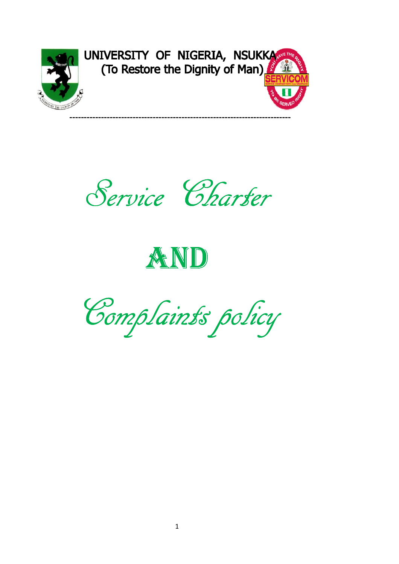

UNIVERSITY OF NIGERIA, NSUKKA



# AND

Complaints policy Complaints policy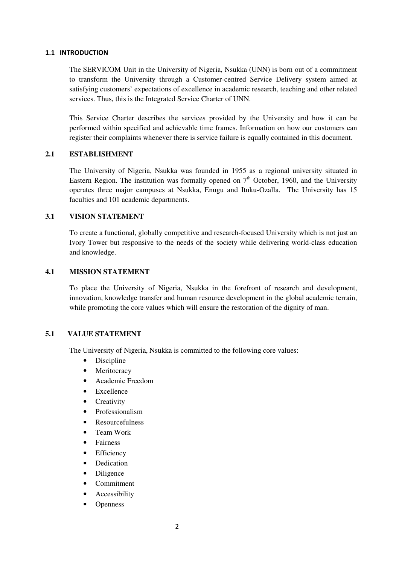#### 1.1 INTRODUCTION

The SERVICOM Unit in the University of Nigeria, Nsukka (UNN) is born out of a commitment to transform the University through a Customer-centred Service Delivery system aimed at satisfying customers' expectations of excellence in academic research, teaching and other related services. Thus, this is the Integrated Service Charter of UNN.

This Service Charter describes the services provided by the University and how it can be performed within specified and achievable time frames. Information on how our customers can register their complaints whenever there is service failure is equally contained in this document.

#### **2.1 ESTABLISHMENT**

The University of Nigeria, Nsukka was founded in 1955 as a regional university situated in Eastern Region. The institution was formally opened on  $7<sup>th</sup>$  October, 1960, and the University operates three major campuses at Nsukka, Enugu and Ituku-Ozalla. The University has 15 faculties and 101 academic departments.

#### **3.1 VISION STATEMENT**

To create a functional, globally competitive and research-focused University which is not just an Ivory Tower but responsive to the needs of the society while delivering world-class education and knowledge.

#### **4.1 MISSION STATEMENT**

To place the University of Nigeria, Nsukka in the forefront of research and development, innovation, knowledge transfer and human resource development in the global academic terrain, while promoting the core values which will ensure the restoration of the dignity of man.

#### **5.1 VALUE STATEMENT**

The University of Nigeria, Nsukka is committed to the following core values:

- Discipline
- Meritocracy
- Academic Freedom
- **Excellence**
- Creativity
- Professionalism
- Resourcefulness
- Team Work
- **Fairness**
- Efficiency
- Dedication
- Diligence
- Commitment
- Accessibility
- **Openness**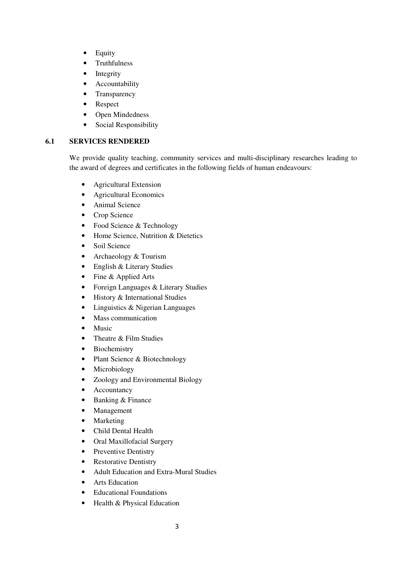- Equity
- Truthfulness
- Integrity
- Accountability
- Transparency
- Respect
- Open Mindedness
- Social Responsibility

#### **6.1 SERVICES RENDERED**

We provide quality teaching, community services and multi-disciplinary researches leading to the award of degrees and certificates in the following fields of human endeavours:

- Agricultural Extension
- Agricultural Economics
- Animal Science
- Crop Science
- Food Science & Technology
- Home Science, Nutrition & Dietetics
- Soil Science
- Archaeology & Tourism
- English & Literary Studies
- Fine & Applied Arts
- Foreign Languages & Literary Studies
- History & International Studies
- Linguistics & Nigerian Languages
- Mass communication
- Music
- Theatre & Film Studies
- Biochemistry
- Plant Science & Biotechnology
- Microbiology
- Zoology and Environmental Biology
- Accountancy
- Banking & Finance
- Management
- Marketing
- Child Dental Health
- Oral Maxillofacial Surgery
- Preventive Dentistry
- Restorative Dentistry
- Adult Education and Extra-Mural Studies
- Arts Education
- Educational Foundations
- Health & Physical Education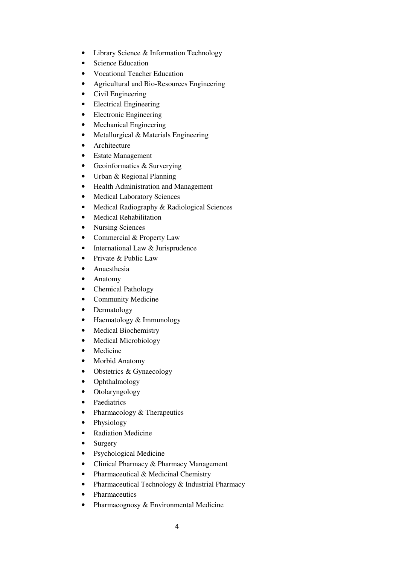- Library Science & Information Technology
- Science Education
- Vocational Teacher Education
- Agricultural and Bio-Resources Engineering
- Civil Engineering
- Electrical Engineering
- Electronic Engineering
- Mechanical Engineering
- Metallurgical & Materials Engineering
- Architecture
- Estate Management
- Geoinformatics & Surverying
- Urban & Regional Planning
- Health Administration and Management
- Medical Laboratory Sciences
- Medical Radiography & Radiological Sciences
- Medical Rehabilitation
- Nursing Sciences
- Commercial & Property Law
- International Law & Jurisprudence
- Private & Public Law
- Anaesthesia
- Anatomy
- Chemical Pathology
- Community Medicine
- Dermatology
- Haematology & Immunology
- Medical Biochemistry
- Medical Microbiology
- Medicine
- Morbid Anatomy
- Obstetrics & Gynaecology
- Ophthalmology
- Otolaryngology
- Paediatrics
- Pharmacology & Therapeutics
- Physiology
- Radiation Medicine
- Surgery
- Psychological Medicine
- Clinical Pharmacy & Pharmacy Management
- Pharmaceutical & Medicinal Chemistry
- Pharmaceutical Technology & Industrial Pharmacy
- Pharmaceutics
- Pharmacognosy & Environmental Medicine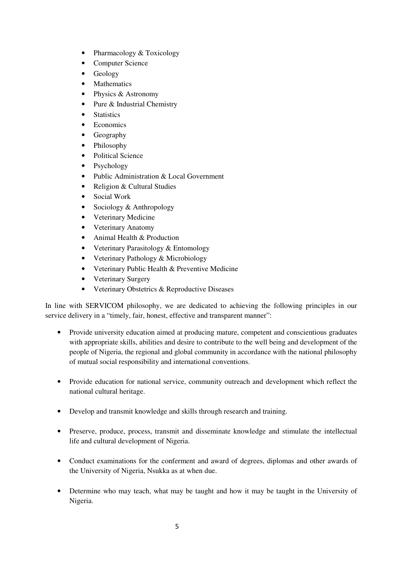- Pharmacology & Toxicology
- Computer Science
- Geology
- Mathematics
- Physics & Astronomy
- Pure & Industrial Chemistry
- Statistics
- Economics
- Geography
- Philosophy
- Political Science
- Psychology
- Public Administration & Local Government
- Religion & Cultural Studies
- Social Work
- Sociology & Anthropology
- Veterinary Medicine
- Veterinary Anatomy
- Animal Health & Production
- Veterinary Parasitology & Entomology
- Veterinary Pathology & Microbiology
- Veterinary Public Health & Preventive Medicine
- Veterinary Surgery
- Veterinary Obstetrics & Reproductive Diseases

In line with SERVICOM philosophy, we are dedicated to achieving the following principles in our service delivery in a "timely, fair, honest, effective and transparent manner":

- Provide university education aimed at producing mature, competent and conscientious graduates with appropriate skills, abilities and desire to contribute to the well being and development of the people of Nigeria, the regional and global community in accordance with the national philosophy of mutual social responsibility and international conventions.
- Provide education for national service, community outreach and development which reflect the national cultural heritage.
- Develop and transmit knowledge and skills through research and training.
- Preserve, produce, process, transmit and disseminate knowledge and stimulate the intellectual life and cultural development of Nigeria.
- Conduct examinations for the conferment and award of degrees, diplomas and other awards of the University of Nigeria, Nsukka as at when due.
- Determine who may teach, what may be taught and how it may be taught in the University of Nigeria.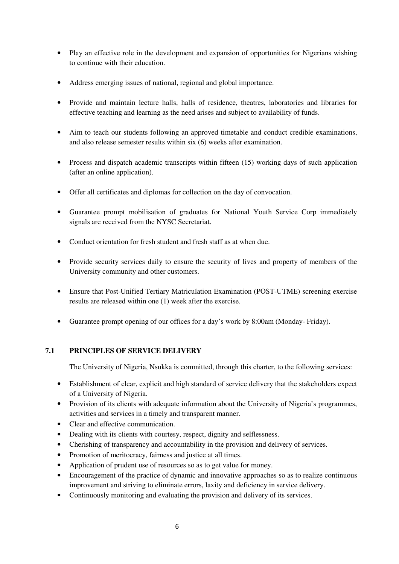- Play an effective role in the development and expansion of opportunities for Nigerians wishing to continue with their education.
- Address emerging issues of national, regional and global importance.
- Provide and maintain lecture halls, halls of residence, theatres, laboratories and libraries for effective teaching and learning as the need arises and subject to availability of funds.
- Aim to teach our students following an approved timetable and conduct credible examinations, and also release semester results within six (6) weeks after examination.
- Process and dispatch academic transcripts within fifteen (15) working days of such application (after an online application).
- Offer all certificates and diplomas for collection on the day of convocation.
- Guarantee prompt mobilisation of graduates for National Youth Service Corp immediately signals are received from the NYSC Secretariat.
- Conduct orientation for fresh student and fresh staff as at when due.
- Provide security services daily to ensure the security of lives and property of members of the University community and other customers.
- Ensure that Post-Unified Tertiary Matriculation Examination (POST-UTME) screening exercise results are released within one (1) week after the exercise.
- Guarantee prompt opening of our offices for a day's work by 8:00am (Monday- Friday).

#### **7.1 PRINCIPLES OF SERVICE DELIVERY**

The University of Nigeria, Nsukka is committed, through this charter, to the following services:

- Establishment of clear, explicit and high standard of service delivery that the stakeholders expect of a University of Nigeria.
- Provision of its clients with adequate information about the University of Nigeria's programmes, activities and services in a timely and transparent manner.
- Clear and effective communication.
- Dealing with its clients with courtesy, respect, dignity and selflessness.
- Cherishing of transparency and accountability in the provision and delivery of services.
- Promotion of meritocracy, fairness and justice at all times.
- Application of prudent use of resources so as to get value for money.
- Encouragement of the practice of dynamic and innovative approaches so as to realize continuous improvement and striving to eliminate errors, laxity and deficiency in service delivery.
- Continuously monitoring and evaluating the provision and delivery of its services.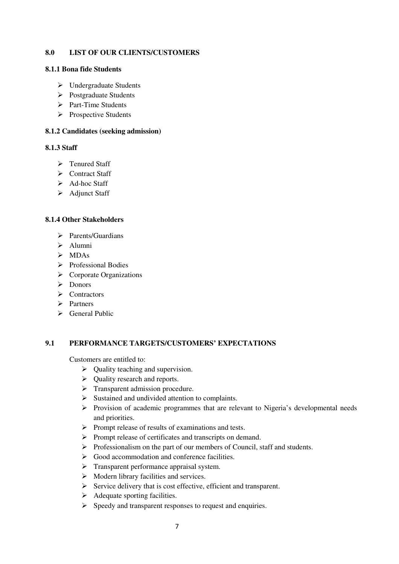#### **8.0 LIST OF OUR CLIENTS/CUSTOMERS**

#### **8.1.1 Bona fide Students**

- Undergraduate Students
- Postgraduate Students
- > Part-Time Students
- $\triangleright$  Prospective Students

#### **8.1.2 Candidates (seeking admission)**

#### **8.1.3 Staff**

- > Tenured Staff
- Contract Staff
- $\triangleright$  Ad-hoc Staff
- > Adjunct Staff

#### **8.1.4 Other Stakeholders**

- $\triangleright$  Parents/Guardians
- > Alumni
- $>$  MDAs
- $\triangleright$  Professional Bodies
- $\triangleright$  Corporate Organizations
- $\triangleright$  Donors
- $\triangleright$  Contractors
- $\triangleright$  Partners
- $\triangleright$  General Public

#### **9.1 PERFORMANCE TARGETS/CUSTOMERS' EXPECTATIONS**

Customers are entitled to:

- $\triangleright$  Quality teaching and supervision.
- $\triangleright$  Quality research and reports.
- $\triangleright$  Transparent admission procedure.
- $\triangleright$  Sustained and undivided attention to complaints.
- $\triangleright$  Provision of academic programmes that are relevant to Nigeria's developmental needs and priorities.
- $\triangleright$  Prompt release of results of examinations and tests.
- $\triangleright$  Prompt release of certificates and transcripts on demand.
- $\triangleright$  Professionalism on the part of our members of Council, staff and students.
- $\triangleright$  Good accommodation and conference facilities.
- $\triangleright$  Transparent performance appraisal system.
- $\triangleright$  Modern library facilities and services.
- $\triangleright$  Service delivery that is cost effective, efficient and transparent.
- $\triangleright$  Adequate sporting facilities.
- $\triangleright$  Speedy and transparent responses to request and enquiries.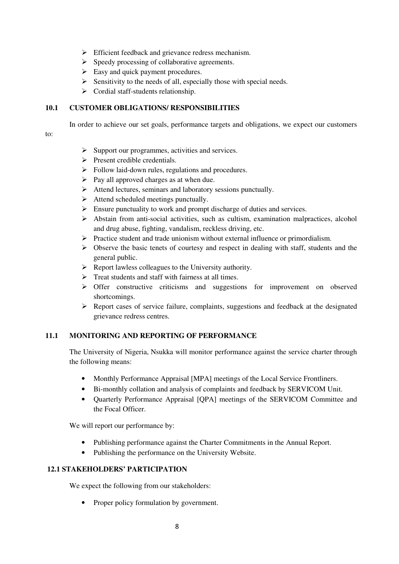- **Efficient feedback and grievance redress mechanism.**
- $\triangleright$  Speedy processing of collaborative agreements.
- $\triangleright$  Easy and quick payment procedures.
- $\triangleright$  Sensitivity to the needs of all, especially those with special needs.
- $\triangleright$  Cordial staff-students relationship.

#### **10.1 CUSTOMER OBLIGATIONS/ RESPONSIBILITIES**

In order to achieve our set goals, performance targets and obligations, we expect our customers

to:

- $\triangleright$  Support our programmes, activities and services.
- $\triangleright$  Present credible credentials.
- $\triangleright$  Follow laid-down rules, regulations and procedures.
- $\triangleright$  Pay all approved charges as at when due.
- $\triangleright$  Attend lectures, seminars and laboratory sessions punctually.
- $\triangleright$  Attend scheduled meetings punctually.
- $\triangleright$  Ensure punctuality to work and prompt discharge of duties and services.
- $\triangleright$  Abstain from anti-social activities, such as cultism, examination malpractices, alcohol and drug abuse, fighting, vandalism, reckless driving, etc.
- $\triangleright$  Practice student and trade unionism without external influence or primordialism.
- $\triangleright$  Observe the basic tenets of courtesy and respect in dealing with staff, students and the general public.
- $\triangleright$  Report lawless colleagues to the University authority.
- $\triangleright$  Treat students and staff with fairness at all times.
- > Offer constructive criticisms and suggestions for improvement on observed shortcomings.
- $\triangleright$  Report cases of service failure, complaints, suggestions and feedback at the designated grievance redress centres.

#### **11.1 MONITORING AND REPORTING OF PERFORMANCE**

The University of Nigeria, Nsukka will monitor performance against the service charter through the following means:

- Monthly Performance Appraisal [MPA] meetings of the Local Service Frontliners.
- Bi-monthly collation and analysis of complaints and feedback by SERVICOM Unit.
- Quarterly Performance Appraisal [QPA] meetings of the SERVICOM Committee and the Focal Officer.

We will report our performance by:

- Publishing performance against the Charter Commitments in the Annual Report.
- Publishing the performance on the University Website.

#### **12.1 STAKEHOLDERS' PARTICIPATION**

We expect the following from our stakeholders:

• Proper policy formulation by government.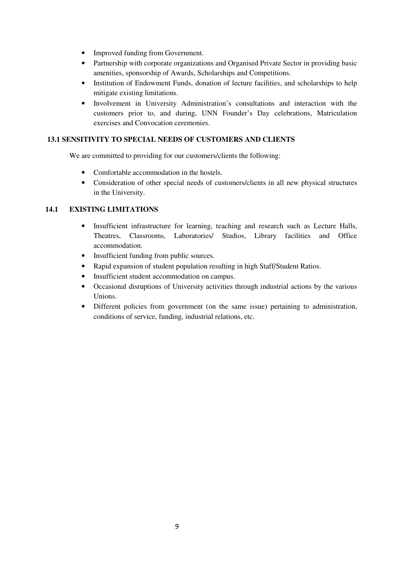- Improved funding from Government.
- Partnership with corporate organizations and Organised Private Sector in providing basic amenities, sponsorship of Awards, Scholarships and Competitions.
- Institution of Endowment Funds, donation of lecture facilities, and scholarships to help mitigate existing limitations.
- Involvement in University Administration's consultations and interaction with the customers prior to, and during, UNN Founder's Day celebrations, Matriculation exercises and Convocation ceremonies.

#### **13.1 SENSITIVITY TO SPECIAL NEEDS OF CUSTOMERS AND CLIENTS**

We are committed to providing for our customers/clients the following:

- Comfortable accommodation in the hostels.
- Consideration of other special needs of customers/clients in all new physical structures in the University.

#### **14.1 EXISTING LIMITATIONS**

- Insufficient infrastructure for learning, teaching and research such as Lecture Halls, Theatres, Classrooms, Laboratories/ Studios, Library facilities and Office accommodation.
- Insufficient funding from public sources.
- Rapid expansion of student population resulting in high Staff/Student Ratios.
- Insufficient student accommodation on campus.
- Occasional disruptions of University activities through industrial actions by the various Unions.
- Different policies from government (on the same issue) pertaining to administration, conditions of service, funding, industrial relations, etc.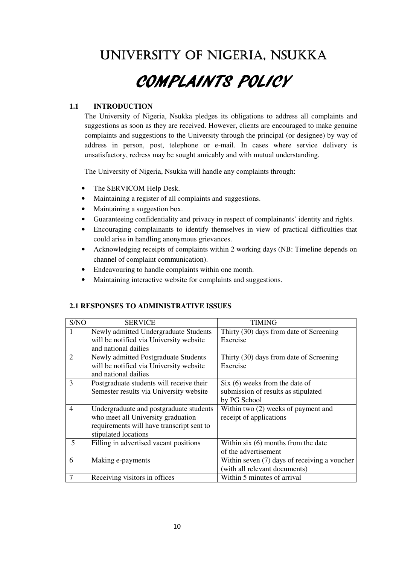### UNIVERSITY OF NIGERIA, NSUKKA

## COMPLAINTS POLICY

#### **1.1 INTRODUCTION**

The University of Nigeria, Nsukka pledges its obligations to address all complaints and suggestions as soon as they are received. However, clients are encouraged to make genuine complaints and suggestions to the University through the principal (or designee) by way of address in person, post, telephone or e-mail. In cases where service delivery is unsatisfactory, redress may be sought amicably and with mutual understanding.

The University of Nigeria, Nsukka will handle any complaints through:

- The SERVICOM Help Desk.
- Maintaining a register of all complaints and suggestions.
- Maintaining a suggestion box.
- Guaranteeing confidentiality and privacy in respect of complainants' identity and rights.
- Encouraging complainants to identify themselves in view of practical difficulties that could arise in handling anonymous grievances.
- Acknowledging receipts of complaints within 2 working days (NB: Timeline depends on channel of complaint communication).
- Endeavouring to handle complaints within one month.
- Maintaining interactive website for complaints and suggestions.

#### **2.1 RESPONSES TO ADMINISTRATIVE ISSUES**

| S/NO           | <b>SERVICE</b>                            | <b>TIMING</b>                                  |
|----------------|-------------------------------------------|------------------------------------------------|
| 1              | Newly admitted Undergraduate Students     | Thirty (30) days from date of Screening        |
|                | will be notified via University website   | Exercise                                       |
|                | and national dailies                      |                                                |
| 2              | Newly admitted Postgraduate Students      | Thirty (30) days from date of Screening        |
|                | will be notified via University website   | Exercise                                       |
|                | and national dailies                      |                                                |
| 3              | Postgraduate students will receive their  | Six (6) weeks from the date of                 |
|                | Semester results via University website   | submission of results as stipulated            |
|                |                                           | by PG School                                   |
| $\overline{4}$ | Undergraduate and postgraduate students   | Within two (2) weeks of payment and            |
|                | who meet all University graduation        | receipt of applications                        |
|                | requirements will have transcript sent to |                                                |
|                | stipulated locations                      |                                                |
| 5              | Filling in advertised vacant positions    | Within six $(6)$ months from the date          |
|                |                                           | of the advertisement                           |
| 6              | Making e-payments                         | Within seven $(7)$ days of receiving a voucher |
|                |                                           | (with all relevant documents)                  |
| 7              | Receiving visitors in offices             | Within 5 minutes of arrival                    |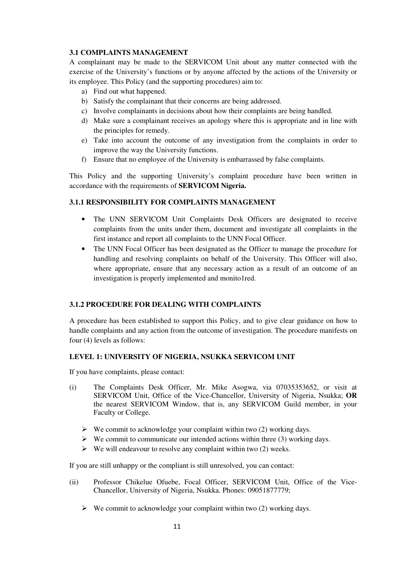#### **3.1 COMPLAINTS MANAGEMENT**

A complainant may be made to the SERVICOM Unit about any matter connected with the exercise of the University's functions or by anyone affected by the actions of the University or its employee. This Policy (and the supporting procedures) aim to:

- a) Find out what happened.
- b) Satisfy the complainant that their concerns are being addressed.
- c) Involve complainants in decisions about how their complaints are being handled.
- d) Make sure a complainant receives an apology where this is appropriate and in line with the principles for remedy.
- e) Take into account the outcome of any investigation from the complaints in order to improve the way the University functions.
- f) Ensure that no employee of the University is embarrassed by false complaints.

This Policy and the supporting University's complaint procedure have been written in accordance with the requirements of **SERVICOM Nigeria.** 

#### **3.1.1 RESPONSIBILITY FOR COMPLAINTS MANAGEMENT**

- The UNN SERVICOM Unit Complaints Desk Officers are designated to receive complaints from the units under them, document and investigate all complaints in the first instance and report all complaints to the UNN Focal Officer.
- The UNN Focal Officer has been designated as the Officer to manage the procedure for handling and resolving complaints on behalf of the University. This Officer will also, where appropriate, ensure that any necessary action as a result of an outcome of an investigation is properly implemented and monito1red.

#### **3.1.2 PROCEDURE FOR DEALING WITH COMPLAINTS**

A procedure has been established to support this Policy, and to give clear guidance on how to handle complaints and any action from the outcome of investigation. The procedure manifests on four (4) levels as follows:

#### **LEVEL 1: UNIVERSITY OF NIGERIA, NSUKKA SERVICOM UNIT**

If you have complaints, please contact:

- (i) The Complaints Desk Officer, Mr. Mike Asogwa, via 07035353652, or visit at SERVICOM Unit, Office of the Vice-Chancellor, University of Nigeria, Nsukka; **OR** the nearest SERVICOM Window, that is, any SERVICOM Guild member, in your Faculty or College.
	- $\triangleright$  We commit to acknowledge your complaint within two (2) working days.
	- $\triangleright$  We commit to communicate our intended actions within three (3) working days.
	- $\triangleright$  We will endeavour to resolve any complaint within two (2) weeks.

If you are still unhappy or the compliant is still unresolved, you can contact:

- (ii) Professor Chikelue Ofuebe, Focal Officer, SERVICOM Unit, Office of the Vice-Chancellor, University of Nigeria, Nsukka. Phones: 09051877779;
	- $\triangleright$  We commit to acknowledge your complaint within two (2) working days.